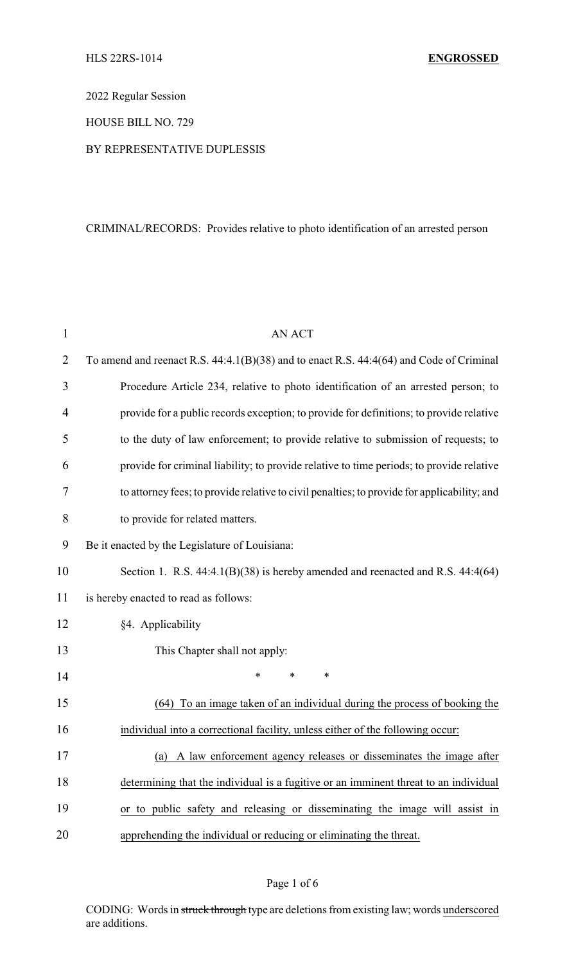2022 Regular Session

HOUSE BILL NO. 729

BY REPRESENTATIVE DUPLESSIS

## CRIMINAL/RECORDS: Provides relative to photo identification of an arrested person

| $\mathbf{1}$   | <b>AN ACT</b>                                                                               |
|----------------|---------------------------------------------------------------------------------------------|
| $\overline{2}$ | To amend and reenact R.S. 44:4.1(B)(38) and to enact R.S. 44:4(64) and Code of Criminal     |
| 3              | Procedure Article 234, relative to photo identification of an arrested person; to           |
| $\overline{4}$ | provide for a public records exception; to provide for definitions; to provide relative     |
| 5              | to the duty of law enforcement; to provide relative to submission of requests; to           |
| 6              | provide for criminal liability; to provide relative to time periods; to provide relative    |
| 7              | to attorney fees; to provide relative to civil penalties; to provide for applicability; and |
| 8              | to provide for related matters.                                                             |
| 9              | Be it enacted by the Legislature of Louisiana:                                              |
| 10             | Section 1. R.S. 44:4.1(B)(38) is hereby amended and reenacted and R.S. 44:4(64)             |
| 11             | is hereby enacted to read as follows:                                                       |
| 12             | §4. Applicability                                                                           |
| 13             | This Chapter shall not apply:                                                               |
| 14             | $\ast$<br>*<br>*                                                                            |
| 15             | To an image taken of an individual during the process of booking the<br>(64)                |
| 16             | individual into a correctional facility, unless either of the following occur:              |
| 17             | (a) A law enforcement agency releases or disseminates the image after                       |
| 18             | determining that the individual is a fugitive or an imminent threat to an individual        |
| 19             | or to public safety and releasing or disseminating the image will assist in                 |
| 20             | apprehending the individual or reducing or eliminating the threat.                          |

## Page 1 of 6

CODING: Words in struck through type are deletions from existing law; words underscored are additions.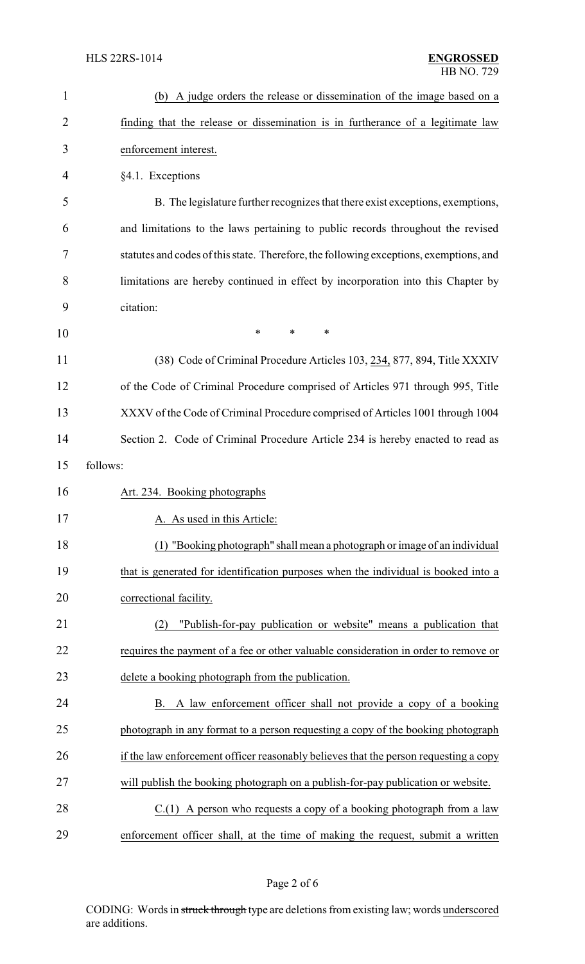| $\mathbf{1}$   | (b) A judge orders the release or dissemination of the image based on a                |
|----------------|----------------------------------------------------------------------------------------|
| $\overline{2}$ | finding that the release or dissemination is in furtherance of a legitimate law        |
| 3              | enforcement interest.                                                                  |
| 4              | §4.1. Exceptions                                                                       |
| 5              | B. The legislature further recognizes that there exist exceptions, exemptions,         |
| 6              | and limitations to the laws pertaining to public records throughout the revised        |
| 7              | statutes and codes of this state. Therefore, the following exceptions, exemptions, and |
| 8              | limitations are hereby continued in effect by incorporation into this Chapter by       |
| 9              | citation:                                                                              |
| 10             | $\ast$<br>$\ast$<br>$\ast$                                                             |
| 11             | (38) Code of Criminal Procedure Articles 103, 234, 877, 894, Title XXXIV               |
| 12             | of the Code of Criminal Procedure comprised of Articles 971 through 995, Title         |
| 13             | XXXV of the Code of Criminal Procedure comprised of Articles 1001 through 1004         |
| 14             | Section 2. Code of Criminal Procedure Article 234 is hereby enacted to read as         |
| 15             | follows:                                                                               |
| 16             | Art. 234. Booking photographs                                                          |
| 17             | A. As used in this Article:                                                            |
| 18             | (1) "Booking photograph" shall mean a photograph or image of an individual             |
| 19             | that is generated for identification purposes when the individual is booked into a     |
| 20             | correctional facility.                                                                 |
| 21             | "Publish-for-pay publication or website" means a publication that<br>(2)               |
| 22             | requires the payment of a fee or other valuable consideration in order to remove or    |
| 23             | delete a booking photograph from the publication.                                      |
| 24             | B. A law enforcement officer shall not provide a copy of a booking                     |
| 25             | photograph in any format to a person requesting a copy of the booking photograph       |
| 26             | if the law enforcement officer reasonably believes that the person requesting a copy   |
| 27             | will publish the booking photograph on a publish-for-pay publication or website.       |
| 28             | $C(1)$ A person who requests a copy of a booking photograph from a law                 |
| 29             | enforcement officer shall, at the time of making the request, submit a written         |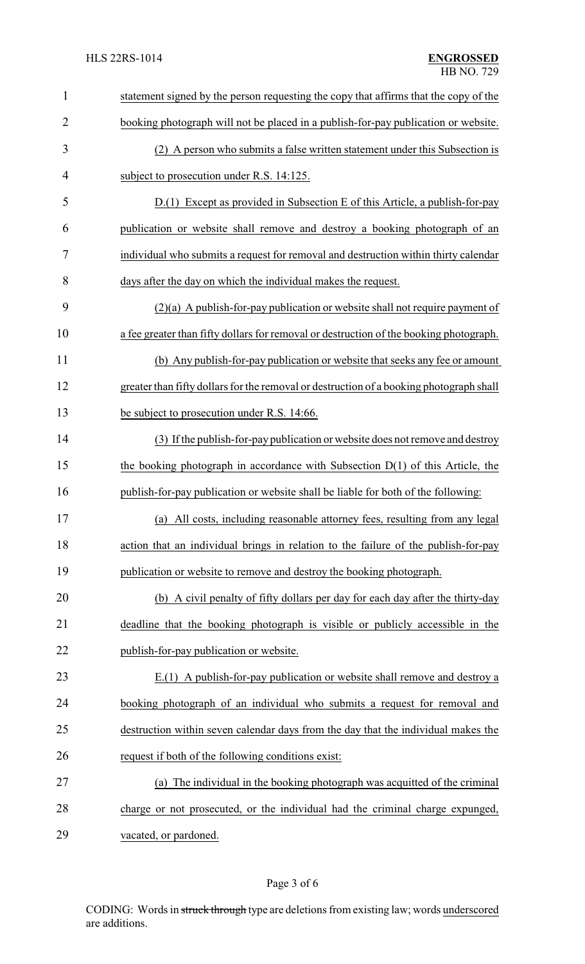| $\mathbf{1}$   | statement signed by the person requesting the copy that affirms that the copy of the    |
|----------------|-----------------------------------------------------------------------------------------|
| $\overline{2}$ | booking photograph will not be placed in a publish-for-pay publication or website.      |
| 3              | (2) A person who submits a false written statement under this Subsection is             |
| $\overline{4}$ | subject to prosecution under R.S. 14:125.                                               |
| 5              | D.(1) Except as provided in Subsection E of this Article, a publish-for-pay             |
| 6              | publication or website shall remove and destroy a booking photograph of an              |
| 7              | individual who submits a request for removal and destruction within thirty calendar     |
| 8              | days after the day on which the individual makes the request.                           |
| 9              | $(2)(a)$ A publish-for-pay publication or website shall not require payment of          |
| 10             | a fee greater than fifty dollars for removal or destruction of the booking photograph.  |
| 11             | (b) Any publish-for-pay publication or website that seeks any fee or amount             |
| 12             | greater than fifty dollars for the removal or destruction of a booking photograph shall |
| 13             | be subject to prosecution under R.S. 14:66.                                             |
| 14             | (3) If the publish-for-pay publication or website does not remove and destroy           |
| 15             | the booking photograph in accordance with Subsection $D(1)$ of this Article, the        |
| 16             | publish-for-pay publication or website shall be liable for both of the following:       |
| 17             | (a) All costs, including reasonable attorney fees, resulting from any legal             |
| 18             | action that an individual brings in relation to the failure of the publish-for-pay      |
| 19             | publication or website to remove and destroy the booking photograph.                    |
| 20             | (b) A civil penalty of fifty dollars per day for each day after the thirty-day          |
| 21             | deadline that the booking photograph is visible or publicly accessible in the           |
| 22             | publish-for-pay publication or website.                                                 |
| 23             | E.(1) A publish-for-pay publication or website shall remove and destroy a               |
| 24             | booking photograph of an individual who submits a request for removal and               |
| 25             | destruction within seven calendar days from the day that the individual makes the       |
| 26             | request if both of the following conditions exist:                                      |
| 27             | The individual in the booking photograph was acquitted of the criminal<br>(a)           |
| 28             | charge or not prosecuted, or the individual had the criminal charge expunged,           |
| 29             | vacated, or pardoned.                                                                   |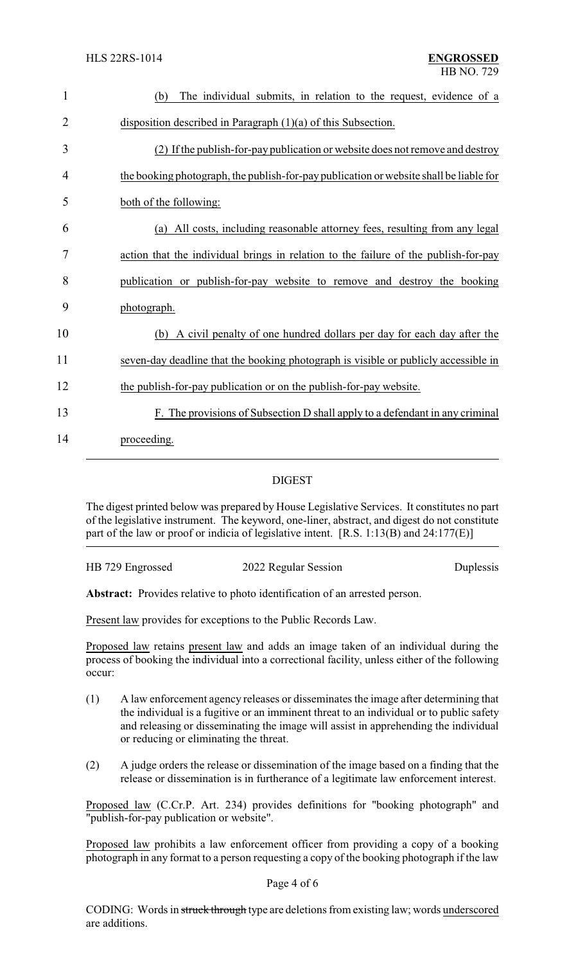| $\mathbf{1}$   | The individual submits, in relation to the request, evidence of a<br>(b)               |
|----------------|----------------------------------------------------------------------------------------|
| $\overline{2}$ | disposition described in Paragraph $(1)(a)$ of this Subsection.                        |
| 3              | (2) If the publish-for-pay publication or website does not remove and destroy          |
| 4              | the booking photograph, the publish-for-pay publication or website shall be liable for |
| 5              | both of the following:                                                                 |
| 6              | (a) All costs, including reasonable attorney fees, resulting from any legal            |
| 7              | action that the individual brings in relation to the failure of the publish-for-pay    |
| 8              | publication or publish-for-pay website to remove and destroy the booking               |
| 9              | photograph.                                                                            |
| 10             | (b) A civil penalty of one hundred dollars per day for each day after the              |
| 11             | seven-day deadline that the booking photograph is visible or publicly accessible in    |
| 12             | the publish-for-pay publication or on the publish-for-pay website.                     |
| 13             | F. The provisions of Subsection D shall apply to a defendant in any criminal           |
| 14             | proceeding.                                                                            |

## DIGEST

The digest printed below was prepared by House Legislative Services. It constitutes no part of the legislative instrument. The keyword, one-liner, abstract, and digest do not constitute part of the law or proof or indicia of legislative intent. [R.S. 1:13(B) and 24:177(E)]

HB 729 Engrossed 2022 Regular Session Duplessis

**Abstract:** Provides relative to photo identification of an arrested person.

Present law provides for exceptions to the Public Records Law.

Proposed law retains present law and adds an image taken of an individual during the process of booking the individual into a correctional facility, unless either of the following occur:

- (1) A law enforcement agency releases or disseminates the image after determining that the individual is a fugitive or an imminent threat to an individual or to public safety and releasing or disseminating the image will assist in apprehending the individual or reducing or eliminating the threat.
- (2) A judge orders the release or dissemination of the image based on a finding that the release or dissemination is in furtherance of a legitimate law enforcement interest.

Proposed law (C.Cr.P. Art. 234) provides definitions for "booking photograph" and "publish-for-pay publication or website".

Proposed law prohibits a law enforcement officer from providing a copy of a booking photograph in any format to a person requesting a copy of the booking photograph if the law

## Page 4 of 6

CODING: Words in struck through type are deletions from existing law; words underscored are additions.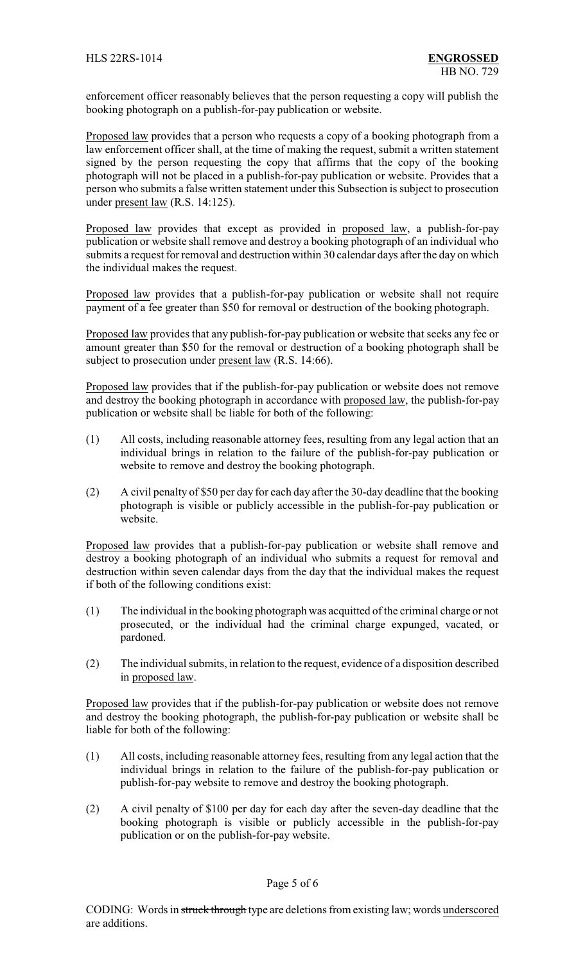enforcement officer reasonably believes that the person requesting a copy will publish the booking photograph on a publish-for-pay publication or website.

Proposed law provides that a person who requests a copy of a booking photograph from a law enforcement officer shall, at the time of making the request, submit a written statement signed by the person requesting the copy that affirms that the copy of the booking photograph will not be placed in a publish-for-pay publication or website. Provides that a person who submits a false written statement under this Subsection is subject to prosecution under present law (R.S. 14:125).

Proposed law provides that except as provided in proposed law, a publish-for-pay publication or website shall remove and destroy a booking photograph of an individual who submits a request for removal and destruction within 30 calendar days after the day on which the individual makes the request.

Proposed law provides that a publish-for-pay publication or website shall not require payment of a fee greater than \$50 for removal or destruction of the booking photograph.

Proposed law provides that any publish-for-pay publication or website that seeks any fee or amount greater than \$50 for the removal or destruction of a booking photograph shall be subject to prosecution under present law (R.S. 14:66).

Proposed law provides that if the publish-for-pay publication or website does not remove and destroy the booking photograph in accordance with proposed law, the publish-for-pay publication or website shall be liable for both of the following:

- (1) All costs, including reasonable attorney fees, resulting from any legal action that an individual brings in relation to the failure of the publish-for-pay publication or website to remove and destroy the booking photograph.
- (2) A civil penalty of \$50 per day for each day after the 30-day deadline that the booking photograph is visible or publicly accessible in the publish-for-pay publication or website.

Proposed law provides that a publish-for-pay publication or website shall remove and destroy a booking photograph of an individual who submits a request for removal and destruction within seven calendar days from the day that the individual makes the request if both of the following conditions exist:

- (1) The individual in the booking photograph was acquitted of the criminal charge or not prosecuted, or the individual had the criminal charge expunged, vacated, or pardoned.
- (2) The individual submits, in relation to the request, evidence of a disposition described in proposed law.

Proposed law provides that if the publish-for-pay publication or website does not remove and destroy the booking photograph, the publish-for-pay publication or website shall be liable for both of the following:

- (1) All costs, including reasonable attorney fees, resulting from any legal action that the individual brings in relation to the failure of the publish-for-pay publication or publish-for-pay website to remove and destroy the booking photograph.
- (2) A civil penalty of \$100 per day for each day after the seven-day deadline that the booking photograph is visible or publicly accessible in the publish-for-pay publication or on the publish-for-pay website.